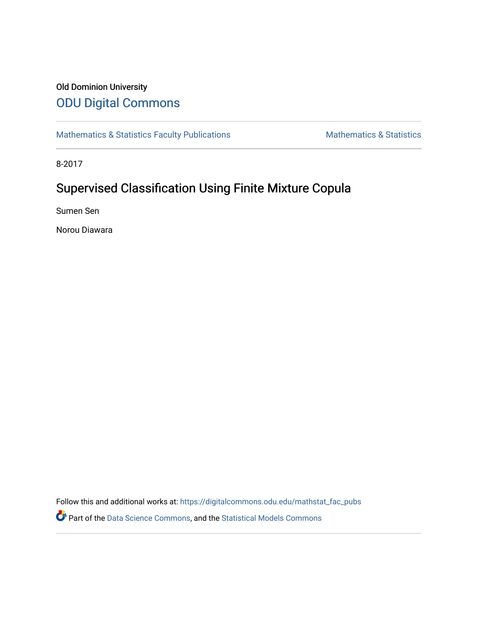## Old Dominion University [ODU Digital Commons](https://digitalcommons.odu.edu/)

[Mathematics & Statistics Faculty Publications](https://digitalcommons.odu.edu/mathstat_fac_pubs) [Mathematics & Statistics](https://digitalcommons.odu.edu/mathstat) Mathematics & Statistics

8-2017

# Supervised Classification Using Finite Mixture Copula

Sumen Sen

Norou Diawara

Follow this and additional works at: [https://digitalcommons.odu.edu/mathstat\\_fac\\_pubs](https://digitalcommons.odu.edu/mathstat_fac_pubs?utm_source=digitalcommons.odu.edu%2Fmathstat_fac_pubs%2F205&utm_medium=PDF&utm_campaign=PDFCoverPages) 

Part of the [Data Science Commons,](http://network.bepress.com/hgg/discipline/1429?utm_source=digitalcommons.odu.edu%2Fmathstat_fac_pubs%2F205&utm_medium=PDF&utm_campaign=PDFCoverPages) and the [Statistical Models Commons](http://network.bepress.com/hgg/discipline/827?utm_source=digitalcommons.odu.edu%2Fmathstat_fac_pubs%2F205&utm_medium=PDF&utm_campaign=PDFCoverPages)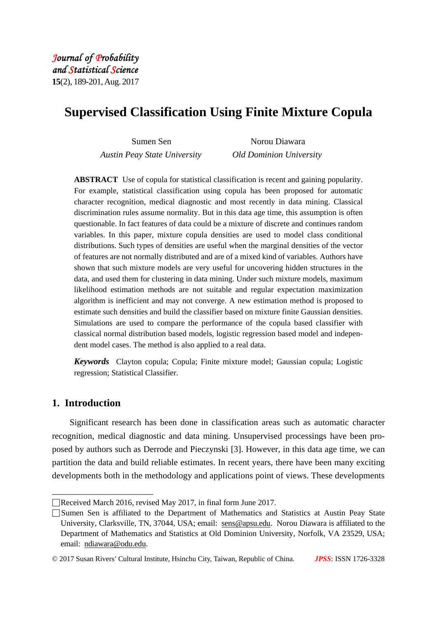# **Supervised Classification Using Finite Mixture Copula**

| Sumen Sen                    | Norou Diawara                  |  |
|------------------------------|--------------------------------|--|
| Austin Peay State University | <b>Old Dominion University</b> |  |

**ABSTRACT** Use of copula for statistical classification is recent and gaining popularity. For example, statistical classification using copula has been proposed for automatic character recognition, medical diagnostic and most recently in data mining. Classical discrimination rules assume normality. But in this data age time, this assumption is often questionable. In fact features of data could be a mixture of discrete and continues random variables. In this paper, mixture copula densities are used to model class conditional distributions. Such types of densities are useful when the marginal densities of the vector of features are not normally distributed and are of a mixed kind of variables. Authors have shown that such mixture models are very useful for uncovering hidden structures in the data, and used them for clustering in data mining. Under such mixture models, maximum likelihood estimation methods are not suitable and regular expectation maximization algorithm is inefficient and may not converge. A new estimation method is proposed to estimate such densities and build the classifier based on mixture finite Gaussian densities. Simulations are used to compare the performance of the copula based classifier with classical normal distribution based models, logistic regression based model and independent model cases. The method is also applied to a real data.

*Keywords* Clayton copula; Copula; Finite mixture model; Gaussian copula; Logistic regression; Statistical Classifier.

## **1. Introduction**

\_\_\_\_\_\_\_\_\_\_\_\_\_\_\_\_\_\_\_\_\_\_\_

Significant research has been done in classification areas such as automatic character recognition, medical diagnostic and data mining. Unsupervised processings have been proposed by authors such as Derrode and Pieczynski [3]. However, in this data age time, we can partition the data and build reliable estimates. In recent years, there have been many exciting developments both in the methodology and applications point of views. These developments

<sup>□</sup>Received March 2016, revised May 2017, in final form June 2017.

<sup>□</sup>Sumen Sen is affiliated to the Department of Mathematics and Statistics at Austin Peay State University, Clarksville, TN, 37044, USA; email: sens@apsu.edu. Norou Diawara is affiliated to the Department of Mathematics and Statistics at Old Dominion University, Norfolk, VA 23529, USA; email: ndiawara@odu.edu.

<sup>©</sup> 2017 Susan Rivers' Cultural Institute, Hsinchu City, Taiwan, Republic of China. *JPSS*: ISSN 1726-3328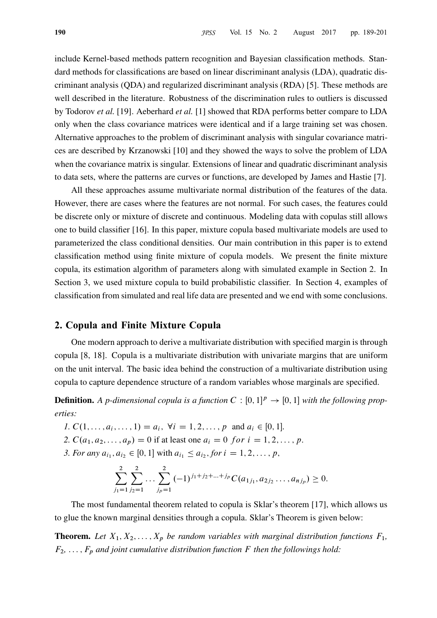include Kernel-based methods pattern recognition and Bayesian classification methods. Standard methods for classifications are based on linear discriminant analysis (LDA), quadratic discriminant analysis (QDA) and regularized discriminant analysis (RDA) [5]. These methods are well described in the literature. Robustness of the discrimination rules to outliers is discussed by Todorov et al. [19]. Aeberhard et al. [1] showed that RDA performs better compare to LDA only when the class covariance matrices were identical and if a large training set was chosen. Alternative approaches to the problem of discriminant analysis with singular covariance matrices are described by Krzanowski [10] and they showed the ways to solve the problem of LDA when the covariance matrix is singular. Extensions of linear and quadratic discriminant analysis to data sets, where the patterns are curves or functions, are developed by James and Hastie [7].

All these approaches assume multivariate normal distribution of the features of the data. However, there are cases where the features are not normal. For such cases, the features could be discrete only or mixture of discrete and continuous. Modeling data with copulas still allows one to build classifier [16]. In this paper, mixture copula based multivariate models are used to parameterized the class conditional densities. Our main contribution in this paper is to extend classification method using finite mixture of copula models. We present the finite mixture copula, its estimation algorithm of parameters along with simulated example in Section 2. In Section 3, we used mixture copula to build probabilistic classifier. In Section 4, examples of classification from simulated and real life data are presented and we end with some conclusions.

## 2. Copula and Finite Mixture Copula

One modern approach to derive a multivariate distribution with specified margin is through copula [8, 18]. Copula is a multivariate distribution with univariate margins that are uniform on the unit interval. The basic idea behind the construction of a multivariate distribution using copula to capture dependence structure of a random variables whose marginals are specified.

**Definition.** A p-dimensional copula is a function  $C : [0, 1]^p \rightarrow [0, 1]$  with the following properties:

- 1.  $C(1, \ldots, a_i, \ldots, 1) = a_i$ ,  $\forall i = 1, 2, \ldots, p$  and  $a_i \in [0, 1]$ .
- 2.  $C(a_1, a_2, \ldots, a_p) = 0$  if at least one  $a_i = 0$  for  $i = 1, 2, \ldots, p$ .
- 3. For any  $a_{i_1}, a_{i_2} \in [0, 1]$  with  $a_{i_1} \le a_{i_2}$ , for  $i = 1, 2, ..., p$ ,

$$
\sum_{j_1=1}^2 \sum_{j_2=1}^2 \dots \sum_{j_p=1}^2 (-1)^{j_1+j_2+\dots+j_p} C(a_{1j_1}, a_{2j_2} \dots, a_{nj_p}) \ge 0.
$$

The most fundamental theorem related to copula is Sklar's theorem [17], which allows us to glue the known marginal densities through a copula. Sklar's Theorem is given below:

**Theorem.** Let  $X_1, X_2, \ldots, X_p$  be random variables with marginal distribution functions  $F_1$ ,  $F_2, \ldots, F_p$  and joint cumulative distribution function F then the followings hold: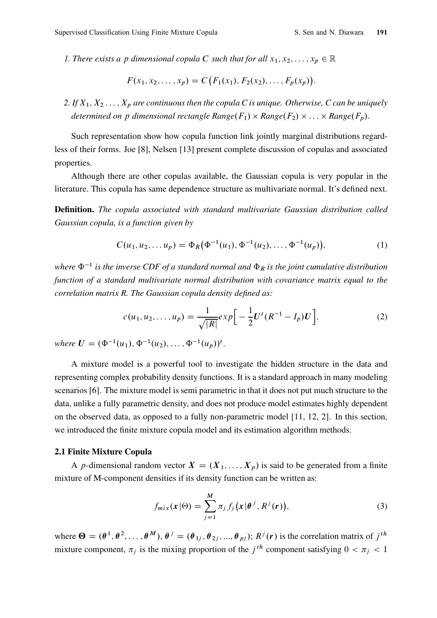1. There exists a p dimensional copula C such that for all  $x_1, x_2, ..., x_p \in \mathbb{R}$ 

$$
F(x_1, x_2, \ldots, x_p) = C(F_1(x_1), F_2(x_2), \ldots, F_p(x_p)).
$$

2. If  $X_1, X_2, \ldots, X_p$  are continuous then the copula C is unique. Otherwise, C can be uniquely determined on p dimensional rectangle Range $(F_1) \times Range(F_2) \times ... \times Range(F_p)$ .

Such representation show how copula function link jointly marginal distributions regardless of their forms. Joe [8], Nelsen [13] present complete discussion of copulas and associated properties.

Although there are other copulas available, the Gaussian copula is very popular in the literature. This copula has same dependence structure as multivariate normal. It's defined next.

Definition. The copula associated with standard multivariate Gaussian distribution called Gaussian copula, is a function given by

$$
C(u_1, u_2,... u_p) = \Phi_R(\Phi^{-1}(u_1), \Phi^{-1}(u_2),..., \Phi^{-1}(u_p)),
$$
\n(1)

where  $\Phi^{-1}$  is the inverse CDF of a standard normal and  $\Phi_R$  is the joint cumulative distribution function of a standard multivariate normal distribution with covariance matrix equal to the correlation matrix R. The Gaussian copula density defined as:

$$
c(u_1, u_2, \dots, u_p) = \frac{1}{\sqrt{|R|}} exp\Big[-\frac{1}{2}U^t(R^{-1} - I_p)U\Big],
$$
 (2)

where  $U = (\Phi^{-1}(u_1), \Phi^{-1}(u_2), \ldots, \Phi^{-1}(u_p))^t$ .

A mixture model is a powerful tool to investigate the hidden structure in the data and representing complex probability density functions. It is a standard approach in many modeling scenarios [6]. The mixture model is semi parametric in that it does not put much structure to the data, unlike a fully parametric density, and does not produce model estimates highly dependent on the observed data, as opposed to a fully non-parametric model [11, 12, 2]. In this section, we introduced the finite mixture copula model and its estimation algorithm methods.

#### 2.1 Finite Mixture Copula

A p-dimensional random vector  $X = (X_1, \ldots, X_p)$  is said to be generated from a finite mixture of M-component densities if its density function can be written as:

$$
f_{mix}(\mathbf{x}|\Theta) = \sum_{j=1}^{M} \pi_j f_j(\mathbf{x}|\theta^j, R^j(\mathbf{r})),
$$
\n(3)

where  $\Theta = (\theta^1, \theta^2, \dots, \theta^M), \theta^j = (\theta_{1j}, \theta_{2j}, \dots, \theta_{pj}); R^j(r)$  is the correlation matrix of  $j^{th}$ mixture component,  $\pi_j$  is the mixing proportion of the  $j<sup>th</sup>$  component satisfying  $0 < \pi_j < 1$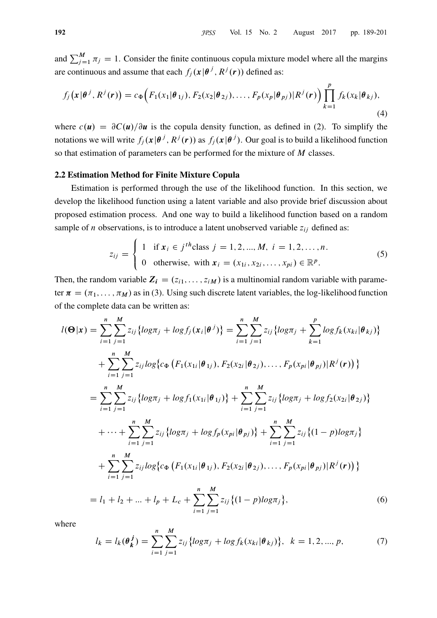and  $\sum_{j=1}^{M} \pi_j = 1$ . Consider the finite continuous copula mixture model where all the margins are continuous and assume that each  $f_j(x|\theta^j, R^j(r))$  defined as:

$$
f_j\big(\mathbf{x}|\boldsymbol{\theta}^j, R^j(\mathbf{r})\big) = c_{\Phi}\Big(F_1(x_1|\boldsymbol{\theta}_{1j}), F_2(x_2|\boldsymbol{\theta}_{2j}), \dots, F_p(x_p|\boldsymbol{\theta}_{pj})|R^j(\mathbf{r})\Big) \prod_{k=1}^p f_k(x_k|\boldsymbol{\theta}_{kj}),
$$
\n(4)

where  $c(u) = \frac{\partial C(u)}{\partial u}$  is the copula density function, as defined in (2). To simplify the notations we will write  $f_j(x|\theta^j, R^j(r))$  as  $f_j(x|\theta^j)$ . Our goal is to build a likelihood function so that estimation of parameters can be performed for the mixture of M classes.

#### 2.2 Estimation Method for Finite Mixture Copula

Estimation is performed through the use of the likelihood function. In this section, we develop the likelihood function using a latent variable and also provide brief discussion about proposed estimation process. And one way to build a likelihood function based on a random sample of *n* observations, is to introduce a latent unobserved variable  $z_{ij}$  defined as:

$$
z_{ij} = \begin{cases} 1 & \text{if } x_i \in j^{th} \text{class } j = 1, 2, ..., M, \ i = 1, 2, ..., n. \\ 0 & \text{otherwise, with } x_i = (x_{1i}, x_{2i}, ..., x_{pi}) \in \mathbb{R}^p. \end{cases}
$$
(5)

Then, the random variable  $Z_i = (z_{i1}, \ldots, z_{iM})$  is a multinomial random variable with parameter  $\pi = (\pi_1, \dots, \pi_M)$  as in (3). Using such discrete latent variables, the log-likelihood function of the complete data can be written as:

$$
l(\mathbf{\Theta}|\mathbf{x}) = \sum_{i=1}^{n} \sum_{j=1}^{M} z_{ij} \{ \log \pi_j + \log f_j(\mathbf{x}_i | \mathbf{\theta}^j) \} = \sum_{i=1}^{n} \sum_{j=1}^{M} z_{ij} \{ \log \pi_j + \sum_{k=1}^{p} \log f_k(\mathbf{x}_{ki} | \mathbf{\theta}_{kj}) \} + \sum_{i=1}^{n} \sum_{j=1}^{M} z_{ij} \log \{ c_{\Phi} (F_1(\mathbf{x}_{1i} | \mathbf{\theta}_{1j}), F_2(\mathbf{x}_{2i} | \mathbf{\theta}_{2j}), \dots, F_p(\mathbf{x}_{pi} | \mathbf{\theta}_{pj}) | R^j(\mathbf{r})) \} = \sum_{i=1}^{n} \sum_{j=1}^{M} z_{ij} \{ \log \pi_j + \log f_1(\mathbf{x}_{1i} | \mathbf{\theta}_{1j}) \} + \sum_{i=1}^{n} \sum_{j=1}^{M} z_{ij} \{ \log \pi_j + \log f_2(\mathbf{x}_{2i} | \mathbf{\theta}_{2j}) \} + \cdots + \sum_{i=1}^{n} \sum_{j=1}^{M} z_{ij} \{ \log \pi_j + \log f_p(\mathbf{x}_{pi} | \mathbf{\theta}_{pj}) \} + \sum_{i=1}^{n} \sum_{j=1}^{M} z_{ij} \{ (1-p) \log \pi_j \} + \sum_{i=1}^{n} \sum_{j=1}^{M} z_{ij} \log \{ c_{\Phi} (F_1(\mathbf{x}_{1i} | \mathbf{\theta}_{1j}), F_2(\mathbf{x}_{2i} | \mathbf{\theta}_{2j}), \dots, F_p(\mathbf{x}_{pi} | \mathbf{\theta}_{pj}) | R^j(\mathbf{r})) \} = l_1 + l_2 + \dots + l_p + L_c + \sum_{i=1}^{n} \sum_{j=1}^{M} z_{ij} \{ (1-p) \log \pi_j \},
$$
(6)

where

$$
l_k = l_k(\theta_k^j) = \sum_{i=1}^n \sum_{j=1}^M z_{ij} \{ \log \pi_j + \log f_k(x_{ki} | \theta_{kj}) \}, \ \ k = 1, 2, ..., p,
$$
 (7)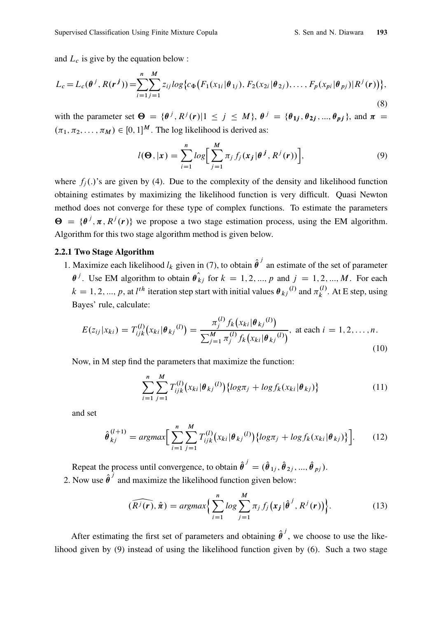and  $L_c$  is give by the equation below :

$$
L_c = L_c(\theta^j, R(r^j)) = \sum_{i=1}^n \sum_{j=1}^M z_{ij} \log \{ c_{\Phi}(F_1(x_{1i}|\theta_{1j}), F_2(x_{2i}|\theta_{2j}), \dots, F_p(x_{pi}|\theta_{pj})| R^j(r)) \},
$$
\n(8)

with the parameter set  $\Theta = {\theta^j, R^j(r)} \mid 1 \le j \le M$ ,  $\theta^j = {\theta_{1j}, \theta_{2j}, ..., \theta_{pj}}$ , and  $\pi =$  $(\pi_1, \pi_2, \dots, \pi_M) \in [0, 1]^M$ . The log likelihood is derived as:

$$
l(\mathbf{\Theta},|\mathbf{x}) = \sum_{i=1}^{n} \log \left[ \sum_{j=1}^{M} \pi_j f_j(\mathbf{x}_j | \mathbf{\theta}^j, R^j(\mathbf{r})) \right],
$$
 (9)

where  $f_i(.)$ 's are given by (4). Due to the complexity of the density and likelihood function obtaining estimates by maximizing the likelihood function is very difficult. Quasi Newton method does not converge for these type of complex functions. To estimate the parameters  $\Theta = \{\theta^j, \pi, R^j(r)\}\$  we propose a two stage estimation process, using the EM algorithm. Algorithm for this two stage algorithm method is given below.

#### 2.2.1 Two Stage Algorithm

1. Maximize each likelihood  $l_k$  given in (7), to obtain  $\hat{\theta}^j$  an estimate of the set of parameter  $\theta^j$ . Use EM algorithm to obtain  $\hat{\theta}_{kj}$  for  $k = 1, 2, ..., p$  and  $j = 1, 2, ..., M$ . For each  $k = 1, 2, ..., p$ , at l<sup>th</sup> iteration step start with initial values  $\theta_{kj}^{(l)}$  and  $\pi_k^{(l)}$  $\kappa^{(t)}$ . At E step, using Bayes' rule, calculate:

$$
E(z_{ij}|x_{ki}) = T_{ijk}^{(l)}(x_{ki}|\boldsymbol{\theta}_{kj}^{(l)}) = \frac{\pi_j^{(l)} f_k(x_{ki}|\boldsymbol{\theta}_{kj}^{(l)})}{\sum_{j=1}^M \pi_j^{(l)} f_k(x_{ki}|\boldsymbol{\theta}_{kj}^{(l)})}, \text{ at each } i = 1, 2, ..., n.
$$
\n(10)

Now, in M step find the parameters that maximize the function:

$$
\sum_{i=1}^{n} \sum_{j=1}^{M} T_{ijk}^{(l)}(x_{ki}|\theta_{kj}^{(l)}) \{ \log \pi_j + \log f_k(x_{ki}|\theta_{kj}) \}
$$
(11)

and set

$$
\hat{\theta}_{kj}^{(l+1)} = \operatorname{argmax} \bigg[ \sum_{i=1}^{n} \sum_{j=1}^{M} T_{ijk}^{(l)} (x_{ki} | \theta_{kj}^{(l)}) \{ \log \pi_j + \log f_k(x_{ki} | \theta_{kj}) \} \bigg]. \tag{12}
$$

Repeat the process until convergence, to obtain  $\hat{\theta}^j = (\hat{\theta}_{1j}, \hat{\theta}_{2j}, ..., \hat{\theta}_{pj})$ . 2. Now use  $\hat{\theta}^j$  and maximize the likelihood function given below:

$$
(\widehat{R^j(\mathbf{r})}, \hat{\boldsymbol{\pi}}) = \operatorname{argmax} \Big\{ \sum_{i=1}^n \log \sum_{j=1}^M \pi_j f_j(\mathbf{x}_j | \hat{\boldsymbol{\theta}}^j, R^j(\mathbf{r})) \Big\}.
$$
 (13)

After estimating the first set of parameters and obtaining  $\hat{\theta}^j$ , we choose to use the likelihood given by (9) instead of using the likelihood function given by (6). Such a two stage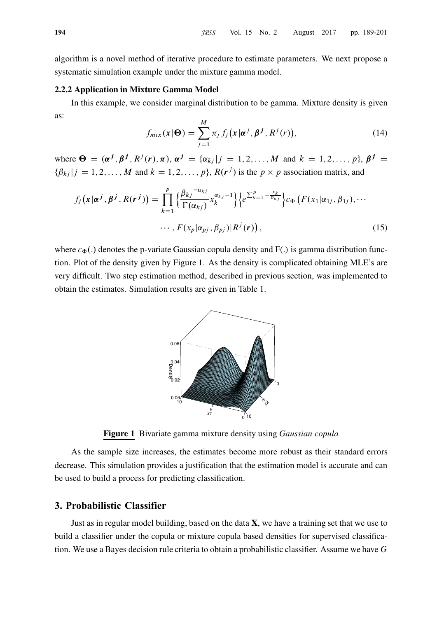algorithm is a novel method of iterative procedure to estimate parameters. We next propose a systematic simulation example under the mixture gamma model.

#### 2.2.2 Application in Mixture Gamma Model

In this example, we consider marginal distribution to be gamma. Mixture density is given as:

$$
f_{mix}(\boldsymbol{x}|\boldsymbol{\Theta}) = \sum_{j=1}^{M} \pi_j f_j(\boldsymbol{x}|\boldsymbol{\alpha}^j, \boldsymbol{\beta}^j, R^j(r)),
$$
\n(14)

where  $\Theta = (\alpha^j, \beta^j, R^j(r), \pi), \alpha^j = {\alpha_{kj}}|j = 1, 2, \dots, M$  and  $k = 1, 2, \dots, p$ ,  $\beta^j =$  $\{\beta_{kj} | j = 1, 2, \dots, M \text{ and } k = 1, 2, \dots, p\}, R(r^j) \text{ is the } p \times p \text{ association matrix, and}$ 

$$
f_j(\mathbf{x}|\boldsymbol{\alpha}^j, \boldsymbol{\beta}^j, R(\boldsymbol{r}^j)) = \prod_{k=1}^p \left\{ \frac{\beta_{kj}^{-\alpha_{kj}}}{\Gamma(\alpha_{kj})} x_k^{\alpha_{kj}-1} \right\} \left\{ e^{\sum_{k=1}^p -\frac{x_k}{\beta_{kj}}} \right\} c_{\Phi} \left( F(x_1|\alpha_{1j}, \beta_{1j}), \cdots \right. \\ \cdots, F(x_p|\alpha_{pj}, \beta_{pj}) | R^j(\boldsymbol{r}) \right), \tag{15}
$$

where  $c_{\Phi}$ .) denotes the p-variate Gaussian copula density and F(.) is gamma distribution function. Plot of the density given by Figure 1. As the density is complicated obtaining MLE's are very difficult. Two step estimation method, described in previous section, was implemented to obtain the estimates. Simulation results are given in Table 1.



Figure 1 Bivariate gamma mixture density using Gaussian copula

As the sample size increases, the estimates become more robust as their standard errors decrease. This simulation provides a justification that the estimation model is accurate and can be used to build a process for predicting classification.

## 3. Probabilistic Classifier

Just as in regular model building, based on the data  $X$ , we have a training set that we use to build a classifier under the copula or mixture copula based densities for supervised classification. We use a Bayes decision rule criteria to obtain a probabilistic classifier. Assume we have G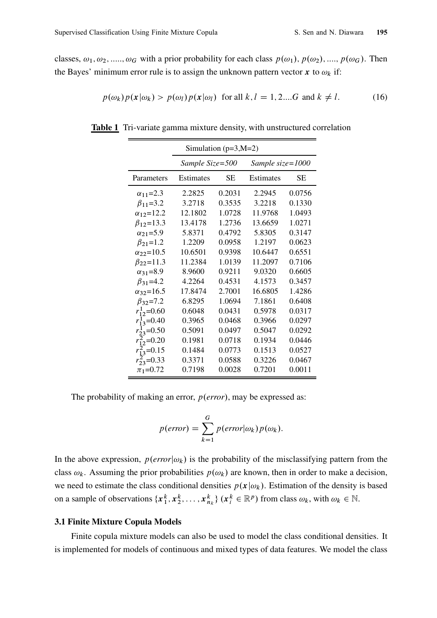classes,  $\omega_1, \omega_2, \ldots, \omega_G$  with a prior probability for each class  $p(\omega_1), p(\omega_2), \ldots, p(\omega_G)$ . Then the Bayes' minimum error rule is to assign the unknown pattern vector x to  $\omega_k$  if:

$$
p(\omega_k)p(\mathbf{x}|\omega_k) > p(\omega_l)p(\mathbf{x}|\omega_l) \text{ for all } k, l = 1, 2, \dots G \text{ and } k \neq l. \tag{16}
$$

| Simulation ( $p=3,M=2$ ) |                  |        |                  |        |
|--------------------------|------------------|--------|------------------|--------|
|                          | Sample Size=500  |        | Sample size=1000 |        |
| Parameters               | <b>Estimates</b> | SЕ     | <b>Estimates</b> | SE     |
| $\alpha_{11} = 2.3$      | 2.2825           | 0.2031 | 2.2945           | 0.0756 |
| $\beta_{11} = 3.2$       | 3.2718           | 0.3535 | 3.2218           | 0.1330 |
| $\alpha_{12} = 12.2$     | 12.1802          | 1.0728 | 11.9768          | 1.0493 |
| $\beta_{12} = 13.3$      | 13.4178          | 1.2736 | 13.6659          | 1.0271 |
| $\alpha_{21} = 5.9$      | 5.8371           | 0.4792 | 5.8305           | 0.3147 |
| $\beta_{21} = 1.2$       | 1.2209           | 0.0958 | 1.2197           | 0.0623 |
| $\alpha_{22} = 10.5$     | 10.6501          | 0.9398 | 10.6447          | 0.6551 |
| $\beta_{22} = 11.3$      | 11.2384          | 1.0139 | 11.2097          | 0.7106 |
| $\alpha_{31} = 8.9$      | 8.9600           | 0.9211 | 9.0320           | 0.6605 |
| $\beta_{31} = 4.2$       | 4.2264           | 0.4531 | 4.1573           | 0.3457 |
| $\alpha_{32} = 16.5$     | 17.8474          | 2.7001 | 16.6805          | 1.4286 |
| $\beta_{32} = 7.2$       | 6.8295           | 1.0694 | 7.1861           | 0.6408 |
| $r_{12}^1$ =0.60         | 0.6048           | 0.0431 | 0.5978           | 0.0317 |
| $r_{13}^1$ =0.40         | 0.3965           | 0.0468 | 0.3966           | 0.0297 |
| $r_{23}^1$ =0.50         | 0.5091           | 0.0497 | 0.5047           | 0.0292 |
| $r_{12}^{2}$ =0.20       | 0.1981           | 0.0718 | 0.1934           | 0.0446 |
| $r_{13}^2$ =0.15         | 0.1484           | 0.0773 | 0.1513           | 0.0527 |
| $r_{23}^2$ =0.33         | 0.3371           | 0.0588 | 0.3226           | 0.0467 |
| $\pi_1 = 0.72$           | 0.7198           | 0.0028 | 0.7201           | 0.0011 |

Table 1 Tri-variate gamma mixture density, with unstructured correlation

The probability of making an error,  $p(error)$ , may be expressed as:

$$
p(\text{error}) = \sum_{k=1}^{G} p(\text{error}|\omega_k) p(\omega_k).
$$

In the above expression,  $p(error|\omega_k)$  is the probability of the misclassifying pattern from the class  $\omega_k$ . Assuming the prior probabilities  $p(\omega_k)$  are known, then in order to make a decision, we need to estimate the class conditional densities  $p(x|\omega_k)$ . Estimation of the density is based on a sample of observations  $\{x_1^k, x_2^k, \ldots, x_{n_k}^k\}$   $(x_i^k \in \mathbb{R}^p)$  from class  $\omega_k$ , with  $\omega_k \in \mathbb{N}$ .

### 3.1 Finite Mixture Copula Models

Finite copula mixture models can also be used to model the class conditional densities. It is implemented for models of continuous and mixed types of data features. We model the class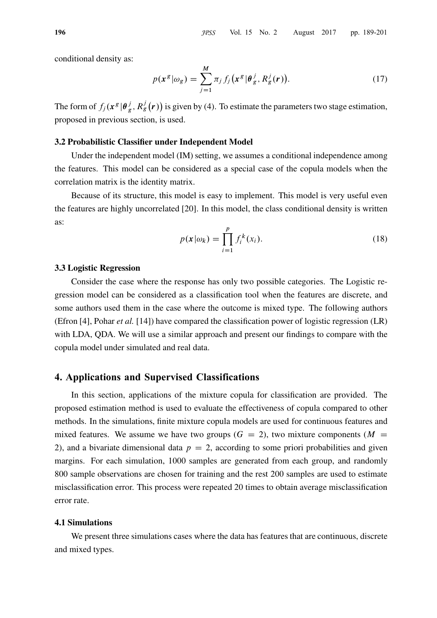conditional density as:

$$
p(\mathbf{x}^g|\omega_g) = \sum_{j=1}^M \pi_j f_j(\mathbf{x}^g|\boldsymbol{\theta}_g^j, R_g^j(\mathbf{r})).
$$
\n(17)

The form of  $f_j(x^g | \theta_g^j)$  $g^j$ ,  $R_g^j(r)$ ) is given by (4). To estimate the parameters two stage estimation, proposed in previous section, is used.

#### 3.2 Probabilistic Classifier under Independent Model

Under the independent model (IM) setting, we assumes a conditional independence among the features. This model can be considered as a special case of the copula models when the correlation matrix is the identity matrix.

Because of its structure, this model is easy to implement. This model is very useful even the features are highly uncorrelated [20]. In this model, the class conditional density is written as:

$$
p(\mathbf{x}|\omega_k) = \prod_{i=1}^p f_i^k(x_i).
$$
 (18)

#### 3.3 Logistic Regression

Consider the case where the response has only two possible categories. The Logistic regression model can be considered as a classification tool when the features are discrete, and some authors used them in the case where the outcome is mixed type. The following authors (Efron [4], Pohar et al. [14]) have compared the classification power of logistic regression (LR) with LDA, QDA. We will use a similar approach and present our findings to compare with the copula model under simulated and real data.

## 4. Applications and Supervised Classifications

In this section, applications of the mixture copula for classification are provided. The proposed estimation method is used to evaluate the effectiveness of copula compared to other methods. In the simulations, finite mixture copula models are used for continuous features and mixed features. We assume we have two groups  $(G = 2)$ , two mixture components  $(M =$ 2), and a bivariate dimensional data  $p = 2$ , according to some priori probabilities and given margins. For each simulation, 1000 samples are generated from each group, and randomly 800 sample observations are chosen for training and the rest 200 samples are used to estimate misclassification error. This process were repeated 20 times to obtain average misclassification error rate.

#### 4.1 Simulations

We present three simulations cases where the data has features that are continuous, discrete and mixed types.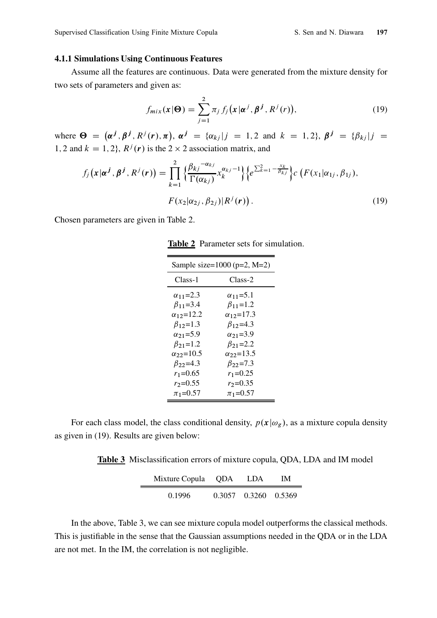#### 4.1.1 Simulations Using Continuous Features

Assume all the features are continuous. Data were generated from the mixture density for two sets of parameters and given as:

$$
f_{mix}(\boldsymbol{x}|\boldsymbol{\Theta}) = \sum_{j=1}^{2} \pi_j f_j(\boldsymbol{x}|\boldsymbol{\alpha}^j, \boldsymbol{\beta}^j, R^j(r)),
$$
\n(19)

where  $\Theta = (\alpha^j, \beta^j, R^j(r), \pi)$ ,  $\alpha^j = {\alpha_{kj}}|j = 1, 2$  and  $k = 1, 2$ ,  $\beta^j = {\beta_{kj}}|j = 1$ 1, 2 and  $k = 1, 2$ ,  $R^{j}(r)$  is the 2  $\times$  2 association matrix, and

$$
f_j(\mathbf{x}|\boldsymbol{\alpha}^j, \boldsymbol{\beta}^j, R^j(\mathbf{r})) = \prod_{k=1}^2 \left\{ \frac{\beta_{kj}^{-\alpha_{kj}}}{\Gamma(\alpha_{kj})} x_k^{\alpha_{kj}-1} \right\} \left\{ e^{\sum_{k=1}^2 - \frac{x_k}{\beta_{kj}}} \right\} c \left( F(x_1|\alpha_{1j}, \beta_{1j}), F(x_2|\alpha_{2j}, \beta_{2j}) | R^j(\mathbf{r}) \right). \tag{19}
$$

Chosen parameters are given in Table 2.

|  | <b>Table 2</b> Parameter sets for simulation. |  |  |  |
|--|-----------------------------------------------|--|--|--|
|--|-----------------------------------------------|--|--|--|

| Sample size= $1000$ (p=2, M=2) |                      |  |  |
|--------------------------------|----------------------|--|--|
| Class-1                        | Class-2              |  |  |
| $\alpha_{11} = 2.3$            | $\alpha_{11} = 5.1$  |  |  |
| $\beta_{11} = 3.4$             | $\beta_{11} = 1.2$   |  |  |
| $\alpha_{12} = 12.2$           | $\alpha_{12} = 17.3$ |  |  |
| $\beta_{12}=1.3$               | $\beta_{12} = 4.3$   |  |  |
| $\alpha_{21} = 5.9$            | $\alpha_{21} = 3.9$  |  |  |
| $\beta_{21} = 1.2$             | $\beta_{21} = 2.2$   |  |  |
| $\alpha_{22}$ =10.5            | $\alpha_{22} = 13.5$ |  |  |
| $\beta_{22} = 4.3$             | $\beta_{22} = 7.3$   |  |  |
| $r_1 = 0.65$                   | $r_1 = 0.25$         |  |  |
| $r_2 = 0.55$                   | $r_2 = 0.35$         |  |  |
| $\pi_1 = 0.57$                 | $\pi_1 = 0.57$       |  |  |

For each class model, the class conditional density,  $p(x|\omega_g)$ , as a mixture copula density as given in (19). Results are given below:

Table 3 Misclassification errors of mixture copula, QDA, LDA and IM model

| Mixture Copula QDA | - LDA                | IМ |
|--------------------|----------------------|----|
| 0.1996             | 0.3057 0.3260 0.5369 |    |

In the above, Table 3, we can see mixture copula model outperforms the classical methods. This is justifiable in the sense that the Gaussian assumptions needed in the QDA or in the LDA are not met. In the IM, the correlation is not negligible.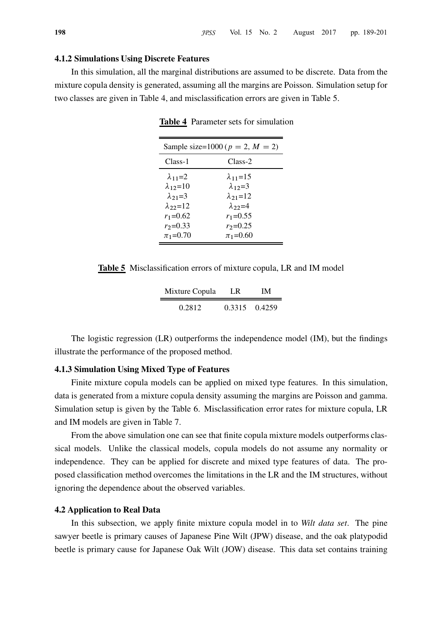#### 4.1.2 Simulations Using Discrete Features

In this simulation, all the marginal distributions are assumed to be discrete. Data from the mixture copula density is generated, assuming all the margins are Poisson. Simulation setup for two classes are given in Table 4, and misclassification errors are given in Table 5.

| Sample size=1000 ( $p = 2$ , $M = 2$ )                                                                                         |                                                                                                                                |  |  |
|--------------------------------------------------------------------------------------------------------------------------------|--------------------------------------------------------------------------------------------------------------------------------|--|--|
| Class-1                                                                                                                        | Class-2                                                                                                                        |  |  |
| $\lambda_{11}=2$<br>$\lambda_{12}=10$<br>$\lambda_{21}=3$<br>$\lambda$ 22=12<br>$r_1 = 0.62$<br>$r_2 = 0.33$<br>$\pi_1 = 0.70$ | $\lambda_{11}=15$<br>$\lambda_{12}=3$<br>$\lambda_{21}=12$<br>$\lambda$ 22=4<br>$r_1 = 0.55$<br>$r_2 = 0.25$<br>$\pi_1 = 0.60$ |  |  |

Table 4 Parameter sets for simulation

Table 5 Misclassification errors of mixture copula, LR and IM model

| Mixture Copula | LR.           | IΜ |
|----------------|---------------|----|
| 0.2812         | 0.3315 0.4259 |    |

The logistic regression (LR) outperforms the independence model (IM), but the findings illustrate the performance of the proposed method.

#### 4.1.3 Simulation Using Mixed Type of Features

Finite mixture copula models can be applied on mixed type features. In this simulation, data is generated from a mixture copula density assuming the margins are Poisson and gamma. Simulation setup is given by the Table 6. Misclassification error rates for mixture copula, LR and IM models are given in Table 7.

From the above simulation one can see that finite copula mixture models outperforms classical models. Unlike the classical models, copula models do not assume any normality or independence. They can be applied for discrete and mixed type features of data. The proposed classification method overcomes the limitations in the LR and the IM structures, without ignoring the dependence about the observed variables.

#### 4.2 Application to Real Data

In this subsection, we apply finite mixture copula model in to *Wilt data set*. The pine sawyer beetle is primary causes of Japanese Pine Wilt (JPW) disease, and the oak platypodid beetle is primary cause for Japanese Oak Wilt (JOW) disease. This data set contains training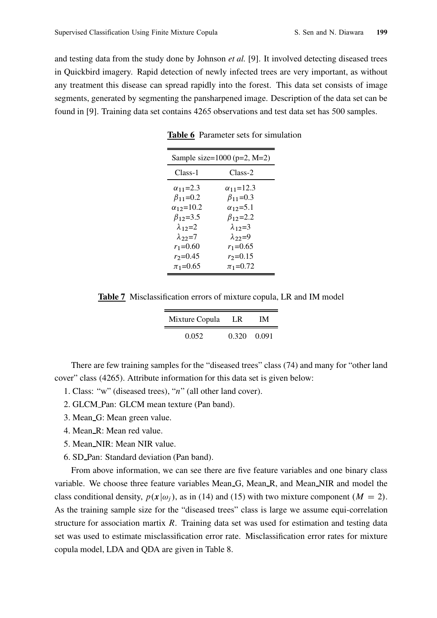and testing data from the study done by Johnson *et al.* [9]. It involved detecting diseased trees in Quickbird imagery. Rapid detection of newly infected trees are very important, as without any treatment this disease can spread rapidly into the forest. This data set consists of image segments, generated by segmenting the pansharpened image. Description of the data set can be found in [9]. Training data set contains 4265 observations and test data set has 500 samples.

| Sample size= $1000$ (p=2, M=2) |                      |  |  |
|--------------------------------|----------------------|--|--|
| Class-1                        | Class-2              |  |  |
| $\alpha_{11} = 2.3$            | $\alpha_{11} = 12.3$ |  |  |
| $\beta_{11} = 0.2$             | $\beta_{11} = 0.3$   |  |  |
| $\alpha_{12} = 10.2$           | $\alpha_{12} = 5.1$  |  |  |
| $\beta_{12} = 3.5$             | $\beta_{12}=2.2$     |  |  |
| $\lambda_{12}=2$               | $\lambda_{12}=3$     |  |  |
| $\lambda_{22}=7$               | $\lambda_{22}=9$     |  |  |
| $r_1 = 0.60$                   | $r_1 = 0.65$         |  |  |
| $r_2 = 0.45$                   | $r_2 = 0.15$         |  |  |
| $\pi_1 = 0.65$                 | $\pi_1 = 0.72$       |  |  |

Table 6 Parameter sets for simulation

Table 7 Misclassification errors of mixture copula, LR and IM model

| Mixture Copula | T.R         | IМ |
|----------------|-------------|----|
| 0.052          | 0.320 0.091 |    |

There are few training samples for the "diseased trees" class (74) and many for "other land cover" class (4265). Attribute information for this data set is given below:

- 1. Class: "w" (diseased trees), "n" (all other land cover).
- 2. GLCM Pan: GLCM mean texture (Pan band).
- 3. Mean G: Mean green value.
- 4. Mean R: Mean red value.
- 5. Mean NIR: Mean NIR value.
- 6. SD Pan: Standard deviation (Pan band).

From above information, we can see there are five feature variables and one binary class variable. We choose three feature variables Mean G, Mean R, and Mean NIR and model the class conditional density,  $p(x|\omega_i)$ , as in (14) and (15) with two mixture component  $(M = 2)$ . As the training sample size for the "diseased trees" class is large we assume equi-correlation structure for association martix R. Training data set was used for estimation and testing data set was used to estimate misclassification error rate. Misclassification error rates for mixture copula model, LDA and QDA are given in Table 8.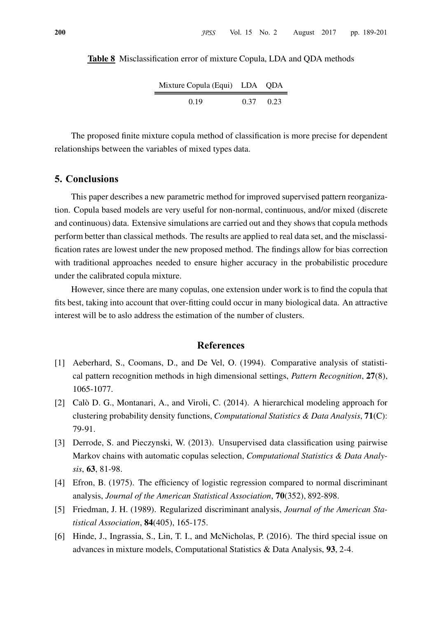Table 8 Misclassification error of mixture Copula, LDA and QDA methods

| Mixture Copula (Equi) LDA QDA |      |      |
|-------------------------------|------|------|
| 0.19                          | 0.37 | 0.23 |

 $\blacksquare$ 

The proposed finite mixture copula method of classification is more precise for dependent relationships between the variables of mixed types data.

## 5. Conclusions

This paper describes a new parametric method for improved supervised pattern reorganization. Copula based models are very useful for non-normal, continuous, and/or mixed (discrete and continuous) data. Extensive simulations are carried out and they shows that copula methods perform better than classical methods. The results are applied to real data set, and the misclassification rates are lowest under the new proposed method. The findings allow for bias correction with traditional approaches needed to ensure higher accuracy in the probabilistic procedure under the calibrated copula mixture.

However, since there are many copulas, one extension under work is to find the copula that fits best, taking into account that over-fitting could occur in many biological data. An attractive interest will be to aslo address the estimation of the number of clusters.

### References

- [1] Aeberhard, S., Coomans, D., and De Vel, O. (1994). Comparative analysis of statistical pattern recognition methods in high dimensional settings, Pattern Recognition, 27(8), 1065-1077.
- [2] Calò D. G., Montanari, A., and Viroli, C. (2014). A hierarchical modeling approach for clustering probability density functions, *Computational Statistics & Data Analysis*,  $71(C)$ : 79-91.
- [3] Derrode, S. and Pieczynski, W. (2013). Unsupervised data classification using pairwise Markov chains with automatic copulas selection, *Computational Statistics & Data Analy*sis, 63, 81-98.
- [4] Efron, B. (1975). The efficiency of logistic regression compared to normal discriminant analysis, Journal of the American Statistical Association, 70(352), 892-898.
- [5] Friedman, J. H. (1989). Regularized discriminant analysis, Journal of the American Statistical Association, 84(405), 165-175.
- [6] Hinde, J., Ingrassia, S., Lin, T. I., and McNicholas, P. (2016). The third special issue on advances in mixture models, Computational Statistics & Data Analysis, 93, 2-4.